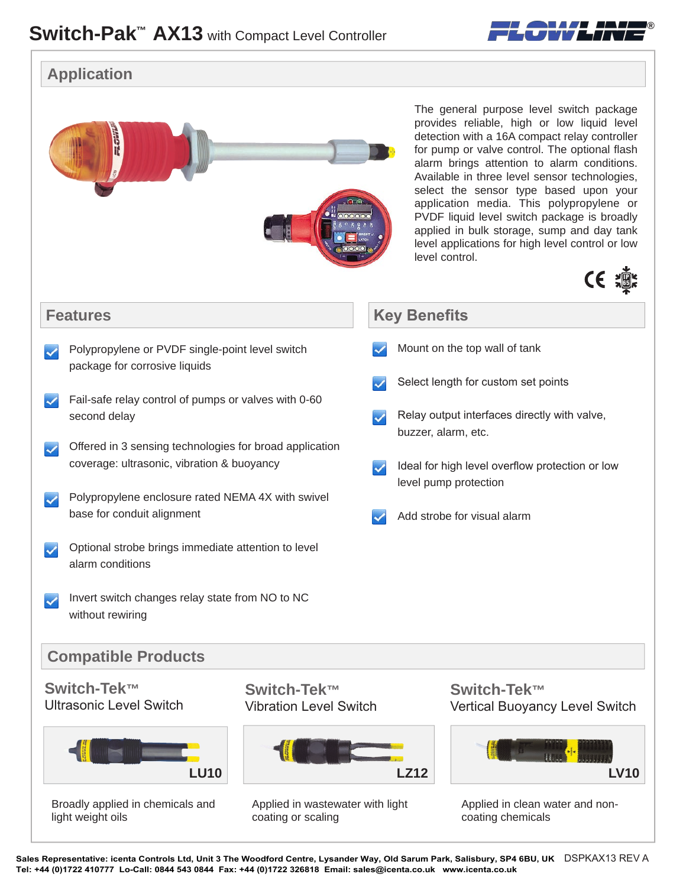

## **Application**



Sales Representative: icenta Controls Ltd, Unit 3 The Woodford Centre, Lysander Way, Old Sarum Park, Salisbury, SP4 6BU, UK DSPKAX13 REV A **Tel: +44 (0)1722 410777 Lo-Call: 0844 543 0844 Fax: +44 (0)1722 326818 Email: sales@icenta.co.uk www.icenta.co.uk**